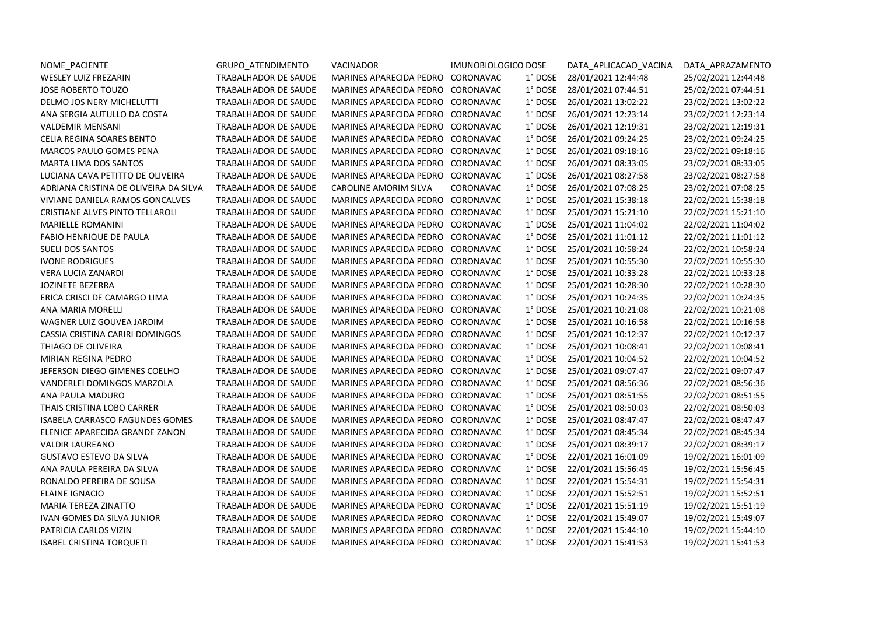| NOME_PACIENTE                          | GRUPO_ATENDIMENTO    | VACINADOR                         | IMUNOBIOLOGICO DOSE  | DATA APLICACAO VACINA       | DATA_APRAZAMENTO    |
|----------------------------------------|----------------------|-----------------------------------|----------------------|-----------------------------|---------------------|
| WESLEY LUIZ FREZARIN                   | TRABALHADOR DE SAUDE | MARINES APARECIDA PEDRO CORONAVAC | 1° DOSE              | 28/01/2021 12:44:48         | 25/02/2021 12:44:48 |
| <b>JOSE ROBERTO TOUZO</b>              | TRABALHADOR DE SAUDE | MARINES APARECIDA PEDRO CORONAVAC | 1° DOSE              | 28/01/2021 07:44:51         | 25/02/2021 07:44:51 |
| DELMO JOS NERY MICHELUTTI              | TRABALHADOR DE SAUDE | MARINES APARECIDA PEDRO CORONAVAC | $1^\circ$ DOSE       | 26/01/2021 13:02:22         | 23/02/2021 13:02:22 |
| ANA SERGIA AUTULLO DA COSTA            | TRABALHADOR DE SAUDE | MARINES APARECIDA PEDRO CORONAVAC | 1° DOSE              | 26/01/2021 12:23:14         | 23/02/2021 12:23:14 |
| <b>VALDEMIR MENSANI</b>                | TRABALHADOR DE SAUDE | MARINES APARECIDA PEDRO CORONAVAC | 1° DOSE              | 26/01/2021 12:19:31         | 23/02/2021 12:19:31 |
| <b>CELIA REGINA SOARES BENTO</b>       | TRABALHADOR DE SAUDE | MARINES APARECIDA PEDRO CORONAVAC | 1° DOSE              | 26/01/2021 09:24:25         | 23/02/2021 09:24:25 |
| MARCOS PAULO GOMES PENA                | TRABALHADOR DE SAUDE | MARINES APARECIDA PEDRO CORONAVAC | 1° DOSE              | 26/01/2021 09:18:16         | 23/02/2021 09:18:16 |
| <b>MARTA LIMA DOS SANTOS</b>           | TRABALHADOR DE SAUDE | MARINES APARECIDA PEDRO CORONAVAC | 1° DOSE              | 26/01/2021 08:33:05         | 23/02/2021 08:33:05 |
| LUCIANA CAVA PETITTO DE OLIVEIRA       | TRABALHADOR DE SAUDE | MARINES APARECIDA PEDRO CORONAVAC | 1° DOSE              | 26/01/2021 08:27:58         | 23/02/2021 08:27:58 |
| ADRIANA CRISTINA DE OLIVEIRA DA SILVA  | TRABALHADOR DE SAUDE | <b>CAROLINE AMORIM SILVA</b>      | CORONAVAC<br>1° DOSE | 26/01/2021 07:08:25         | 23/02/2021 07:08:25 |
| VIVIANE DANIELA RAMOS GONCALVES        | TRABALHADOR DE SAUDE | MARINES APARECIDA PEDRO CORONAVAC | 1° DOSE              | 25/01/2021 15:38:18         | 22/02/2021 15:38:18 |
| <b>CRISTIANE ALVES PINTO TELLAROLI</b> | TRABALHADOR DE SAUDE | MARINES APARECIDA PEDRO CORONAVAC | 1° DOSE              | 25/01/2021 15:21:10         | 22/02/2021 15:21:10 |
| <b>MARIELLE ROMANINI</b>               | TRABALHADOR DE SAUDE | MARINES APARECIDA PEDRO CORONAVAC | 1° DOSE              | 25/01/2021 11:04:02         | 22/02/2021 11:04:02 |
| FABIO HENRIQUE DE PAULA                | TRABALHADOR DE SAUDE | MARINES APARECIDA PEDRO CORONAVAC | 1° DOSE              | 25/01/2021 11:01:12         | 22/02/2021 11:01:12 |
| <b>SUELI DOS SANTOS</b>                | TRABALHADOR DE SAUDE | MARINES APARECIDA PEDRO CORONAVAC | 1° DOSE              | 25/01/2021 10:58:24         | 22/02/2021 10:58:24 |
| <b>IVONE RODRIGUES</b>                 | TRABALHADOR DE SAUDE | MARINES APARECIDA PEDRO CORONAVAC | 1° DOSE              | 25/01/2021 10:55:30         | 22/02/2021 10:55:30 |
| <b>VERA LUCIA ZANARDI</b>              | TRABALHADOR DE SAUDE | MARINES APARECIDA PEDRO CORONAVAC | 1° DOSE              | 25/01/2021 10:33:28         | 22/02/2021 10:33:28 |
| <b>JOZINETE BEZERRA</b>                | TRABALHADOR DE SAUDE | MARINES APARECIDA PEDRO CORONAVAC | 1° DOSE              | 25/01/2021 10:28:30         | 22/02/2021 10:28:30 |
| ERICA CRISCI DE CAMARGO LIMA           | TRABALHADOR DE SAUDE | MARINES APARECIDA PEDRO CORONAVAC | 1° DOSE              | 25/01/2021 10:24:35         | 22/02/2021 10:24:35 |
| ANA MARIA MORELLI                      | TRABALHADOR DE SAUDE | MARINES APARECIDA PEDRO CORONAVAC | 1° DOSE              | 25/01/2021 10:21:08         | 22/02/2021 10:21:08 |
| WAGNER LUIZ GOUVEA JARDIM              | TRABALHADOR DE SAUDE | MARINES APARECIDA PEDRO CORONAVAC | 1° DOSE              | 25/01/2021 10:16:58         | 22/02/2021 10:16:58 |
| CASSIA CRISTINA CARIRI DOMINGOS        | TRABALHADOR DE SAUDE | MARINES APARECIDA PEDRO CORONAVAC | 1° DOSE              | 25/01/2021 10:12:37         | 22/02/2021 10:12:37 |
| THIAGO DE OLIVEIRA                     | TRABALHADOR DE SAUDE | MARINES APARECIDA PEDRO CORONAVAC | 1° DOSE              | 25/01/2021 10:08:41         | 22/02/2021 10:08:41 |
| MIRIAN REGINA PEDRO                    | TRABALHADOR DE SAUDE | MARINES APARECIDA PEDRO CORONAVAC | 1° DOSE              | 25/01/2021 10:04:52         | 22/02/2021 10:04:52 |
| JEFERSON DIEGO GIMENES COELHO          | TRABALHADOR DE SAUDE | MARINES APARECIDA PEDRO CORONAVAC | 1° DOSE              | 25/01/2021 09:07:47         | 22/02/2021 09:07:47 |
| VANDERLEI DOMINGOS MARZOLA             | TRABALHADOR DE SAUDE | MARINES APARECIDA PEDRO CORONAVAC | 1° DOSE              | 25/01/2021 08:56:36         | 22/02/2021 08:56:36 |
| ANA PAULA MADURO                       | TRABALHADOR DE SAUDE | MARINES APARECIDA PEDRO CORONAVAC | $1^\circ$ DOSE       | 25/01/2021 08:51:55         | 22/02/2021 08:51:55 |
| THAIS CRISTINA LOBO CARRER             | TRABALHADOR DE SAUDE | MARINES APARECIDA PEDRO CORONAVAC | 1° DOSE              | 25/01/2021 08:50:03         | 22/02/2021 08:50:03 |
| <b>ISABELA CARRASCO FAGUNDES GOMES</b> | TRABALHADOR DE SAUDE | MARINES APARECIDA PEDRO CORONAVAC | 1° DOSE              | 25/01/2021 08:47:47         | 22/02/2021 08:47:47 |
| ELENICE APARECIDA GRANDE ZANON         | TRABALHADOR DE SAUDE | MARINES APARECIDA PEDRO CORONAVAC | 1° DOSE              | 25/01/2021 08:45:34         | 22/02/2021 08:45:34 |
| <b>VALDIR LAUREANO</b>                 | TRABALHADOR DE SAUDE | MARINES APARECIDA PEDRO CORONAVAC | 1° DOSE              | 25/01/2021 08:39:17         | 22/02/2021 08:39:17 |
| <b>GUSTAVO ESTEVO DA SILVA</b>         | TRABALHADOR DE SAUDE | MARINES APARECIDA PEDRO CORONAVAC | 1° DOSE              | 22/01/2021 16:01:09         | 19/02/2021 16:01:09 |
| ANA PAULA PEREIRA DA SILVA             | TRABALHADOR DE SAUDE | MARINES APARECIDA PEDRO CORONAVAC | 1° DOSE              | 22/01/2021 15:56:45         | 19/02/2021 15:56:45 |
| RONALDO PEREIRA DE SOUSA               | TRABALHADOR DE SAUDE | MARINES APARECIDA PEDRO CORONAVAC | 1° DOSE              | 22/01/2021 15:54:31         | 19/02/2021 15:54:31 |
| <b>ELAINE IGNACIO</b>                  | TRABALHADOR DE SAUDE | MARINES APARECIDA PEDRO CORONAVAC | 1° DOSE              | 22/01/2021 15:52:51         | 19/02/2021 15:52:51 |
| MARIA TEREZA ZINATTO                   | TRABALHADOR DE SAUDE | MARINES APARECIDA PEDRO CORONAVAC | 1° DOSE              | 22/01/2021 15:51:19         | 19/02/2021 15:51:19 |
| IVAN GOMES DA SILVA JUNIOR             | TRABALHADOR DE SAUDE | MARINES APARECIDA PEDRO CORONAVAC | 1° DOSE              | 22/01/2021 15:49:07         | 19/02/2021 15:49:07 |
| PATRICIA CARLOS VIZIN                  | TRABALHADOR DE SAUDE | MARINES APARECIDA PEDRO CORONAVAC | 1° DOSE              | 22/01/2021 15:44:10         | 19/02/2021 15:44:10 |
| <b>ISABEL CRISTINA TORQUETI</b>        | TRABALHADOR DE SAUDE | MARINES APARECIDA PEDRO CORONAVAC |                      | 1° DOSE 22/01/2021 15:41:53 | 19/02/2021 15:41:53 |